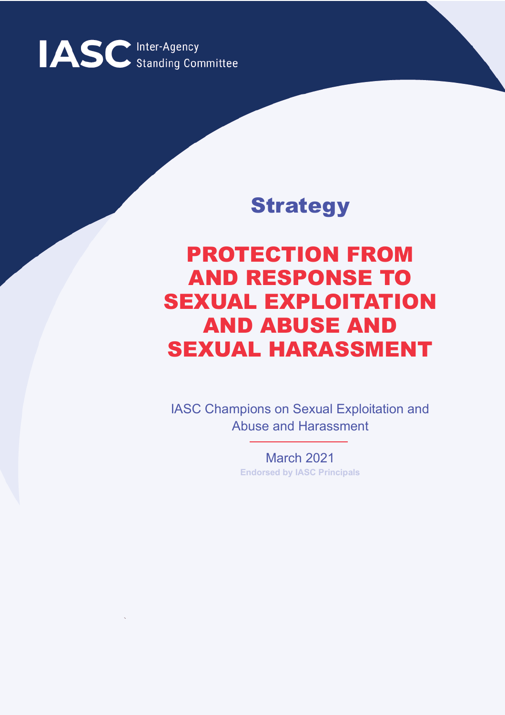

## **Strategy**

# PROTECTION FROM AND RESPONSE TO SEXUAL EXPLOITATION AND ABUSE AND SEXUAL HARASSMENT

IASC Champions on Sexual Exploitation and Abuse and Harassment

> March 2021 **Endorsed by IASC Principals**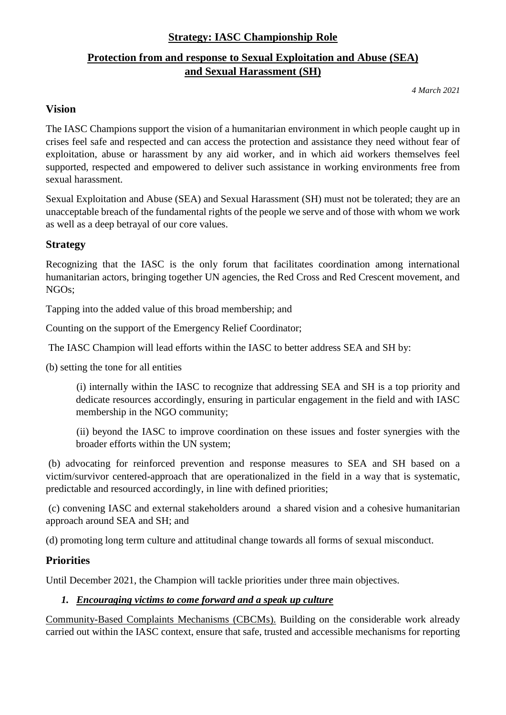#### **Strategy: IASC Championship Role**

## **Protection from and response to Sexual Exploitation and Abuse (SEA) and Sexual Harassment (SH)**

*4 March 2021*

#### **Vision**

The IASC Champions support the vision of a humanitarian environment in which people caught up in crises feel safe and respected and can access the protection and assistance they need without fear of exploitation, abuse or harassment by any aid worker, and in which aid workers themselves feel supported, respected and empowered to deliver such assistance in working environments free from sexual harassment.

Sexual Exploitation and Abuse (SEA) and Sexual Harassment (SH) must not be tolerated; they are an unacceptable breach of the fundamental rights of the people we serve and of those with whom we work as well as a deep betrayal of our core values.

#### **Strategy**

Recognizing that the IASC is the only forum that facilitates coordination among international humanitarian actors, bringing together UN agencies, the Red Cross and Red Crescent movement, and NGOs;

Tapping into the added value of this broad membership; and

Counting on the support of the Emergency Relief Coordinator;

The IASC Champion will lead efforts within the IASC to better address SEA and SH by:

(b) setting the tone for all entities

(i) internally within the IASC to recognize that addressing SEA and SH is a top priority and dedicate resources accordingly, ensuring in particular engagement in the field and with IASC membership in the NGO community;

(ii) beyond the IASC to improve coordination on these issues and foster synergies with the broader efforts within the UN system;

(b) advocating for reinforced prevention and response measures to SEA and SH based on a victim/survivor centered-approach that are operationalized in the field in a way that is systematic, predictable and resourced accordingly, in line with defined priorities;

(c) convening IASC and external stakeholders around a shared vision and a cohesive humanitarian approach around SEA and SH; and

(d) promoting long term culture and attitudinal change towards all forms of sexual misconduct.

#### **Priorities**

Until December 2021, the Champion will tackle priorities under three main objectives.

#### *1. Encouraging victims to come forward and a speak up culture*

Community-Based Complaints Mechanisms (CBCMs). Building on the considerable work already carried out within the IASC context, ensure that safe, trusted and accessible mechanisms for reporting